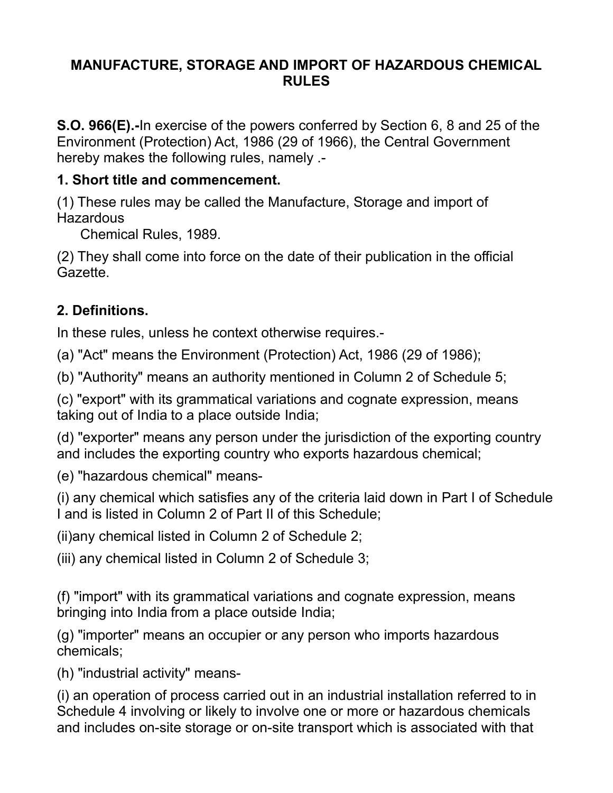#### **MANUFACTURE, STORAGE AND IMPORT OF HAZARDOUS CHEMICAL RULES**

**S.O. 966(E).-**In exercise of the powers conferred by Section 6, 8 and 25 of the Environment (Protection) Act, 1986 (29 of 1966), the Central Government hereby makes the following rules, namely .-

#### **1. Short title and commencement.**

(1) These rules may be called the Manufacture, Storage and import of **Hazardous** 

Chemical Rules, 1989.

(2) They shall come into force on the date of their publication in the official Gazette.

## **2. Definitions.**

In these rules, unless he context otherwise requires.-

(a) "Act" means the Environment (Protection) Act, 1986 (29 of 1986);

(b) "Authority" means an authority mentioned in Column 2 of Schedule 5;

(c) "export" with its grammatical variations and cognate expression, means taking out of India to a place outside India;

(d) "exporter" means any person under the jurisdiction of the exporting country and includes the exporting country who exports hazardous chemical;

(e) "hazardous chemical" means-

(i) any chemical which satisfies any of the criteria laid down in Part I of Schedule I and is listed in Column 2 of Part II of this Schedule;

(ii)any chemical listed in Column 2 of Schedule 2;

(iii) any chemical listed in Column 2 of Schedule 3;

(f) "import" with its grammatical variations and cognate expression, means bringing into India from a place outside India;

(g) "importer" means an occupier or any person who imports hazardous chemicals;

(h) "industrial activity" means-

(i) an operation of process carried out in an industrial installation referred to in Schedule 4 involving or likely to involve one or more or hazardous chemicals and includes on-site storage or on-site transport which is associated with that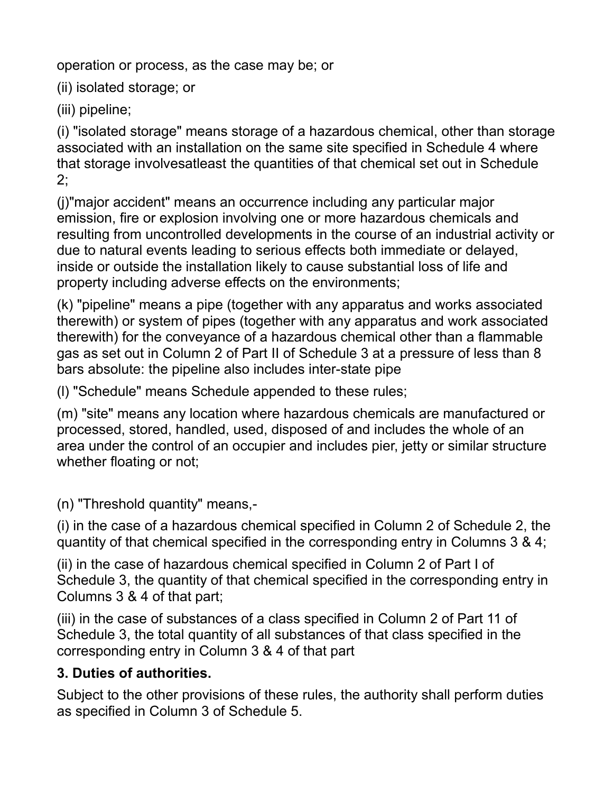operation or process, as the case may be; or

(ii) isolated storage; or

(iii) pipeline;

(i) "isolated storage" means storage of a hazardous chemical, other than storage associated with an installation on the same site specified in Schedule 4 where that storage involvesatleast the quantities of that chemical set out in Schedule 2;

(j)"major accident" means an occurrence including any particular major emission, fire or explosion involving one or more hazardous chemicals and resulting from uncontrolled developments in the course of an industrial activity or due to natural events leading to serious effects both immediate or delayed, inside or outside the installation likely to cause substantial loss of life and property including adverse effects on the environments;

(k) "pipeline" means a pipe (together with any apparatus and works associated therewith) or system of pipes (together with any apparatus and work associated therewith) for the conveyance of a hazardous chemical other than a flammable gas as set out in Column 2 of Part II of Schedule 3 at a pressure of less than 8 bars absolute: the pipeline also includes inter-state pipe

(l) "Schedule" means Schedule appended to these rules;

(m) "site" means any location where hazardous chemicals are manufactured or processed, stored, handled, used, disposed of and includes the whole of an area under the control of an occupier and includes pier, jetty or similar structure whether floating or not;

(n) "Threshold quantity" means,-

(i) in the case of a hazardous chemical specified in Column 2 of Schedule 2, the quantity of that chemical specified in the corresponding entry in Columns 3 & 4;

(ii) in the case of hazardous chemical specified in Column 2 of Part I of Schedule 3, the quantity of that chemical specified in the corresponding entry in Columns 3 & 4 of that part;

(iii) in the case of substances of a class specified in Column 2 of Part 11 of Schedule 3, the total quantity of all substances of that class specified in the corresponding entry in Column 3 & 4 of that part

# **3. Duties of authorities.**

Subject to the other provisions of these rules, the authority shall perform duties as specified in Column 3 of Schedule 5.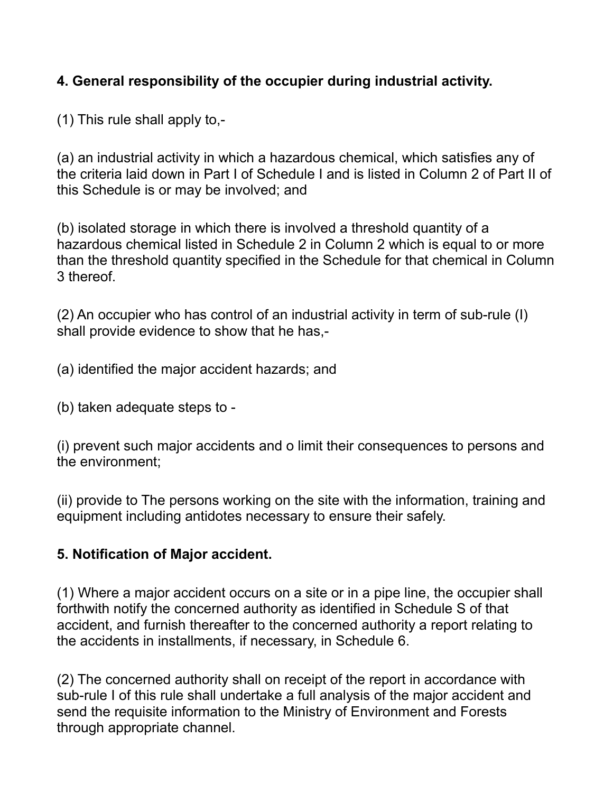## **4. General responsibility of the occupier during industrial activity.**

(1) This rule shall apply to,-

(a) an industrial activity in which a hazardous chemical, which satisfies any of the criteria laid down in Part I of Schedule I and is listed in Column 2 of Part II of this Schedule is or may be involved; and

(b) isolated storage in which there is involved a threshold quantity of a hazardous chemical listed in Schedule 2 in Column 2 which is equal to or more than the threshold quantity specified in the Schedule for that chemical in Column 3 thereof.

(2) An occupier who has control of an industrial activity in term of sub-rule (I) shall provide evidence to show that he has,-

(a) identified the major accident hazards; and

(b) taken adequate steps to -

(i) prevent such major accidents and o limit their consequences to persons and the environment;

(ii) provide to The persons working on the site with the information, training and equipment including antidotes necessary to ensure their safely.

#### **5. Notification of Major accident.**

(1) Where a major accident occurs on a site or in a pipe line, the occupier shall forthwith notify the concerned authority as identified in Schedule S of that accident, and furnish thereafter to the concerned authority a report relating to the accidents in installments, if necessary, in Schedule 6.

(2) The concerned authority shall on receipt of the report in accordance with sub-rule I of this rule shall undertake a full analysis of the major accident and send the requisite information to the Ministry of Environment and Forests through appropriate channel.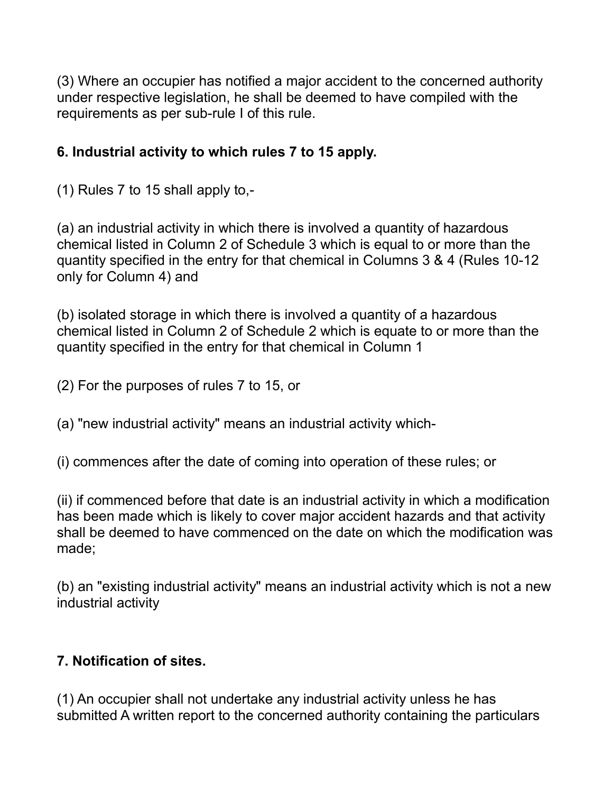(3) Where an occupier has notified a major accident to the concerned authority under respective legislation, he shall be deemed to have compiled with the requirements as per sub-rule I of this rule.

## **6. Industrial activity to which rules 7 to 15 apply.**

(1) Rules 7 to 15 shall apply to,-

(a) an industrial activity in which there is involved a quantity of hazardous chemical listed in Column 2 of Schedule 3 which is equal to or more than the quantity specified in the entry for that chemical in Columns 3 & 4 (Rules 10-12 only for Column 4) and

(b) isolated storage in which there is involved a quantity of a hazardous chemical listed in Column 2 of Schedule 2 which is equate to or more than the quantity specified in the entry for that chemical in Column 1

(2) For the purposes of rules 7 to 15, or

(a) "new industrial activity" means an industrial activity which-

(i) commences after the date of coming into operation of these rules; or

(ii) if commenced before that date is an industrial activity in which a modification has been made which is likely to cover major accident hazards and that activity shall be deemed to have commenced on the date on which the modification was made;

(b) an "existing industrial activity" means an industrial activity which is not a new industrial activity

#### **7. Notification of sites.**

(1) An occupier shall not undertake any industrial activity unless he has submitted A written report to the concerned authority containing the particulars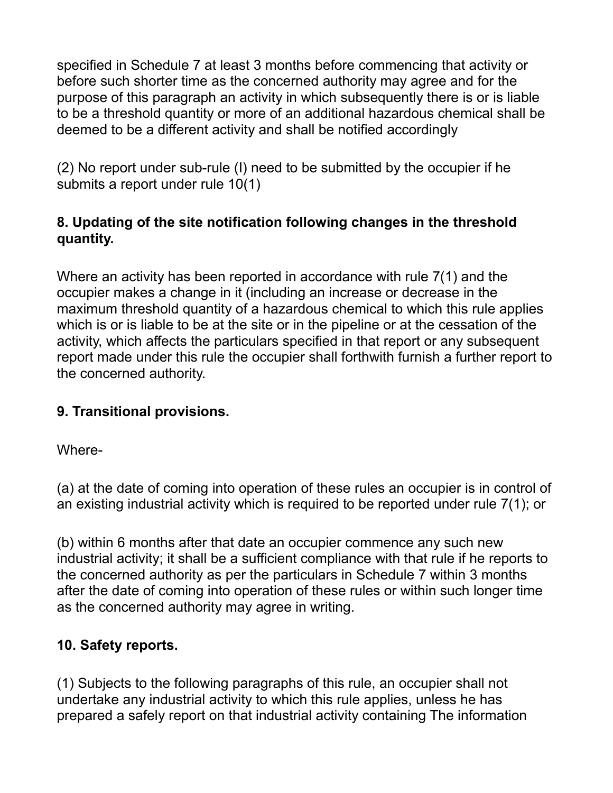specified in Schedule 7 at least 3 months before commencing that activity or before such shorter time as the concerned authority may agree and for the purpose of this paragraph an activity in which subsequently there is or is liable to be a threshold quantity or more of an additional hazardous chemical shall be deemed to be a different activity and shall be notified accordingly

(2) No report under sub-rule (I) need to be submitted by the occupier if he submits a report under rule 10(1)

## **8. Updating of the site notification following changes in the threshold quantity.**

Where an activity has been reported in accordance with rule 7(1) and the occupier makes a change in it (including an increase or decrease in the maximum threshold quantity of a hazardous chemical to which this rule applies which is or is liable to be at the site or in the pipeline or at the cessation of the activity, which affects the particulars specified in that report or any subsequent report made under this rule the occupier shall forthwith furnish a further report to the concerned authority.

#### **9. Transitional provisions.**

Where-

(a) at the date of coming into operation of these rules an occupier is in control of an existing industrial activity which is required to be reported under rule 7(1); or

(b) within 6 months after that date an occupier commence any such new industrial activity; it shall be a sufficient compliance with that rule if he reports to the concerned authority as per the particulars in Schedule 7 within 3 months after the date of coming into operation of these rules or within such longer time as the concerned authority may agree in writing.

# **10. Safety reports.**

(1) Subjects to the following paragraphs of this rule, an occupier shall not undertake any industrial activity to which this rule applies, unless he has prepared a safely report on that industrial activity containing The information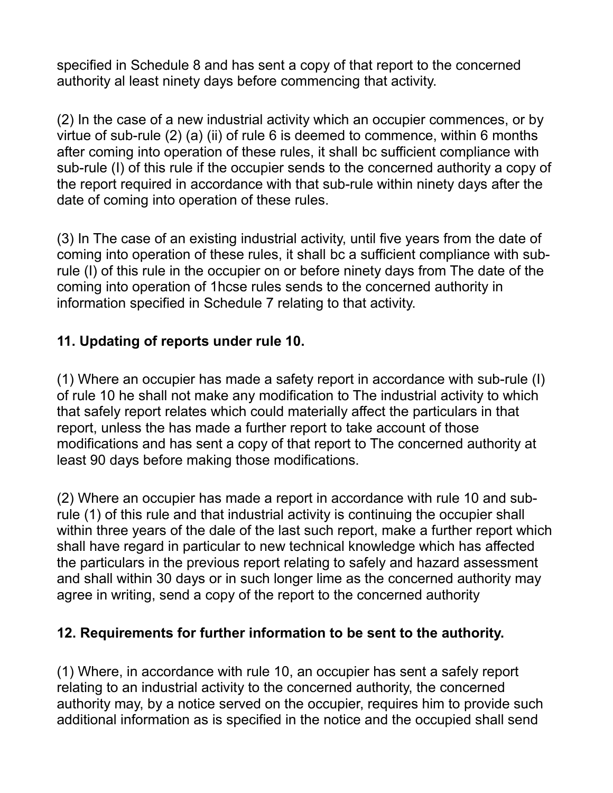specified in Schedule 8 and has sent a copy of that report to the concerned authority al least ninety days before commencing that activity.

(2) In the case of a new industrial activity which an occupier commences, or by virtue of sub-rule (2) (a) (ii) of rule 6 is deemed to commence, within 6 months after coming into operation of these rules, it shall bc sufficient compliance with sub-rule (I) of this rule if the occupier sends to the concerned authority a copy of the report required in accordance with that sub-rule within ninety days after the date of coming into operation of these rules.

(3) In The case of an existing industrial activity, until five years from the date of coming into operation of these rules, it shall bc a sufficient compliance with subrule (I) of this rule in the occupier on or before ninety days from The date of the coming into operation of 1hcse rules sends to the concerned authority in information specified in Schedule 7 relating to that activity.

#### **11. Updating of reports under rule 10.**

(1) Where an occupier has made a safety report in accordance with sub-rule (I) of rule 10 he shall not make any modification to The industrial activity to which that safely report relates which could materially affect the particulars in that report, unless the has made a further report to take account of those modifications and has sent a copy of that report to The concerned authority at least 90 days before making those modifications.

(2) Where an occupier has made a report in accordance with rule 10 and subrule (1) of this rule and that industrial activity is continuing the occupier shall within three years of the dale of the last such report, make a further report which shall have regard in particular to new technical knowledge which has affected the particulars in the previous report relating to safely and hazard assessment and shall within 30 days or in such longer lime as the concerned authority may agree in writing, send a copy of the report to the concerned authority

#### **12. Requirements for further information to be sent to the authority.**

(1) Where, in accordance with rule 10, an occupier has sent a safely report relating to an industrial activity to the concerned authority, the concerned authority may, by a notice served on the occupier, requires him to provide such additional information as is specified in the notice and the occupied shall send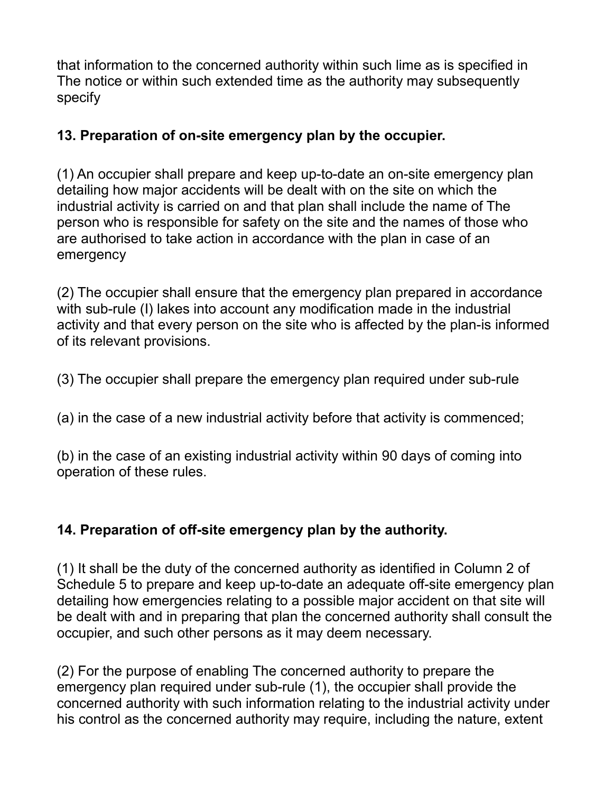that information to the concerned authority within such lime as is specified in The notice or within such extended time as the authority may subsequently specify

## **13. Preparation of on-site emergency plan by the occupier.**

(1) An occupier shall prepare and keep up-to-date an on-site emergency plan detailing how major accidents will be dealt with on the site on which the industrial activity is carried on and that plan shall include the name of The person who is responsible for safety on the site and the names of those who are authorised to take action in accordance with the plan in case of an emergency

(2) The occupier shall ensure that the emergency plan prepared in accordance with sub-rule (I) lakes into account any modification made in the industrial activity and that every person on the site who is affected by the plan-is informed of its relevant provisions.

(3) The occupier shall prepare the emergency plan required under sub-rule

(a) in the case of a new industrial activity before that activity is commenced;

(b) in the case of an existing industrial activity within 90 days of coming into operation of these rules.

# **14. Preparation of off-site emergency plan by the authority.**

(1) It shall be the duty of the concerned authority as identified in Column 2 of Schedule 5 to prepare and keep up-to-date an adequate off-site emergency plan detailing how emergencies relating to a possible major accident on that site will be dealt with and in preparing that plan the concerned authority shall consult the occupier, and such other persons as it may deem necessary.

(2) For the purpose of enabling The concerned authority to prepare the emergency plan required under sub-rule (1), the occupier shall provide the concerned authority with such information relating to the industrial activity under his control as the concerned authority may require, including the nature, extent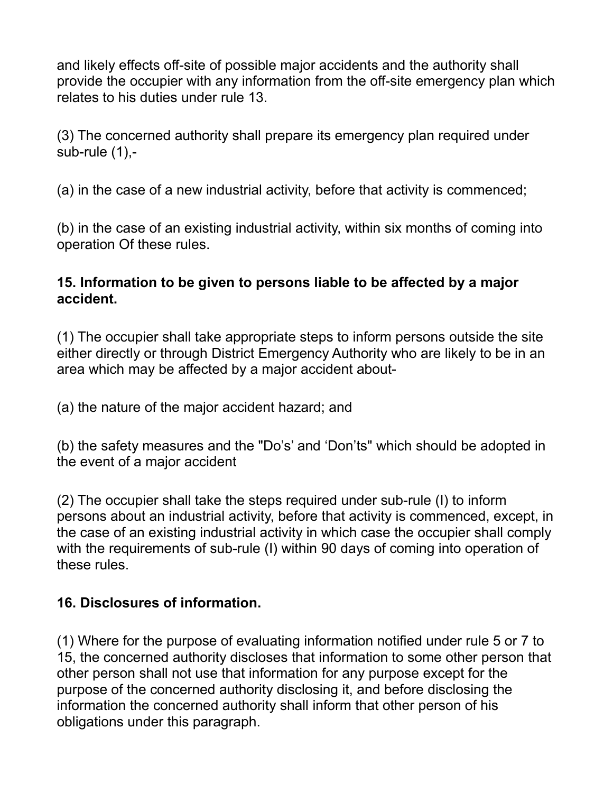and likely effects off-site of possible major accidents and the authority shall provide the occupier with any information from the off-site emergency plan which relates to his duties under rule 13.

(3) The concerned authority shall prepare its emergency plan required under sub-rule (1),-

(a) in the case of a new industrial activity, before that activity is commenced;

(b) in the case of an existing industrial activity, within six months of coming into operation Of these rules.

#### **15. Information to be given to persons liable to be affected by a major accident.**

(1) The occupier shall take appropriate steps to inform persons outside the site either directly or through District Emergency Authority who are likely to be in an area which may be affected by a major accident about-

(a) the nature of the major accident hazard; and

(b) the safety measures and the "Do's' and 'Don'ts" which should be adopted in the event of a major accident

(2) The occupier shall take the steps required under sub-rule (I) to inform persons about an industrial activity, before that activity is commenced, except, in the case of an existing industrial activity in which case the occupier shall comply with the requirements of sub-rule (I) within 90 days of coming into operation of these rules.

# **16. Disclosures of information.**

(1) Where for the purpose of evaluating information notified under rule 5 or 7 to 15, the concerned authority discloses that information to some other person that other person shall not use that information for any purpose except for the purpose of the concerned authority disclosing it, and before disclosing the information the concerned authority shall inform that other person of his obligations under this paragraph.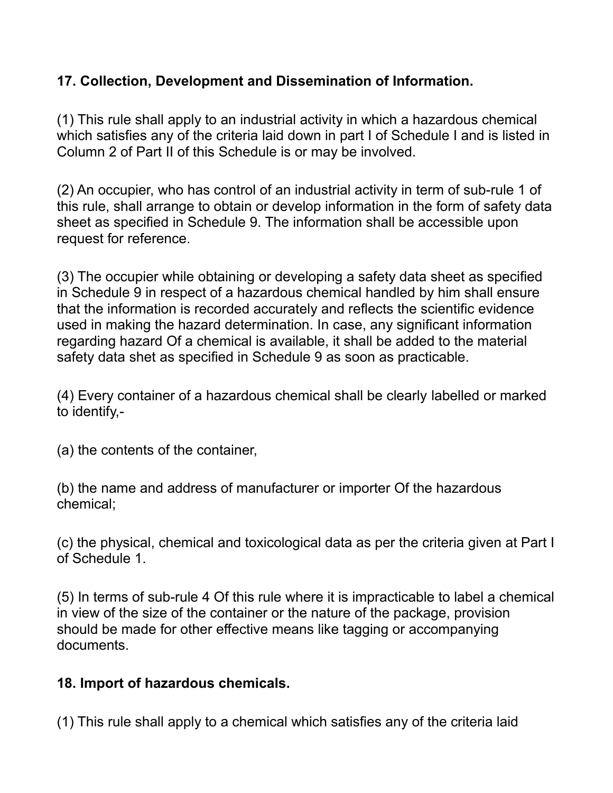## **17. Collection, Development and Dissemination of Information.**

(1) This rule shall apply to an industrial activity in which a hazardous chemical which satisfies any of the criteria laid down in part I of Schedule I and is listed in Column 2 of Part II of this Schedule is or may be involved.

(2) An occupier, who has control of an industrial activity in term of sub-rule 1 of this rule, shall arrange to obtain or develop information in the form of safety data sheet as specified in Schedule 9. The information shall be accessible upon request for reference.

(3) The occupier while obtaining or developing a safety data sheet as specified in Schedule 9 in respect of a hazardous chemical handled by him shall ensure that the information is recorded accurately and reflects the scientific evidence used in making the hazard determination. In case, any significant information regarding hazard Of a chemical is available, it shall be added to the material safety data shet as specified in Schedule 9 as soon as practicable.

(4) Every container of a hazardous chemical shall be clearly labelled or marked to identify,-

(a) the contents of the container,

(b) the name and address of manufacturer or importer Of the hazardous chemical;

(c) the physical, chemical and toxicological data as per the criteria given at Part I of Schedule 1.

(5) In terms of sub-rule 4 Of this rule where it is impracticable to label a chemical in view of the size of the container or the nature of the package, provision should be made for other effective means like tagging or accompanying documents.

#### **18. Import of hazardous chemicals.**

(1) This rule shall apply to a chemical which satisfies any of the criteria laid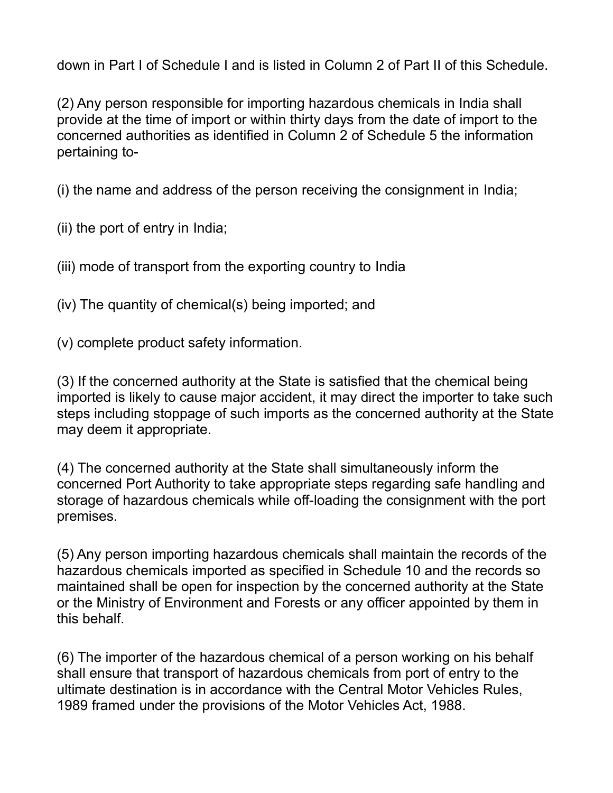down in Part I of Schedule I and is listed in Column 2 of Part II of this Schedule.

(2) Any person responsible for importing hazardous chemicals in India shall provide at the time of import or within thirty days from the date of import to the concerned authorities as identified in Column 2 of Schedule 5 the information pertaining to-

(i) the name and address of the person receiving the consignment in India;

(ii) the port of entry in India;

(iii) mode of transport from the exporting country to India

(iv) The quantity of chemical(s) being imported; and

(v) complete product safety information.

(3) If the concerned authority at the State is satisfied that the chemical being imported is likely to cause major accident, it may direct the importer to take such steps including stoppage of such imports as the concerned authority at the State may deem it appropriate.

(4) The concerned authority at the State shall simultaneously inform the concerned Port Authority to take appropriate steps regarding safe handling and storage of hazardous chemicals while off-loading the consignment with the port premises.

(5) Any person importing hazardous chemicals shall maintain the records of the hazardous chemicals imported as specified in Schedule 10 and the records so maintained shall be open for inspection by the concerned authority at the State or the Ministry of Environment and Forests or any officer appointed by them in this behalf.

(6) The importer of the hazardous chemical of a person working on his behalf shall ensure that transport of hazardous chemicals from port of entry to the ultimate destination is in accordance with the Central Motor Vehicles Rules, 1989 framed under the provisions of the Motor Vehicles Act, 1988.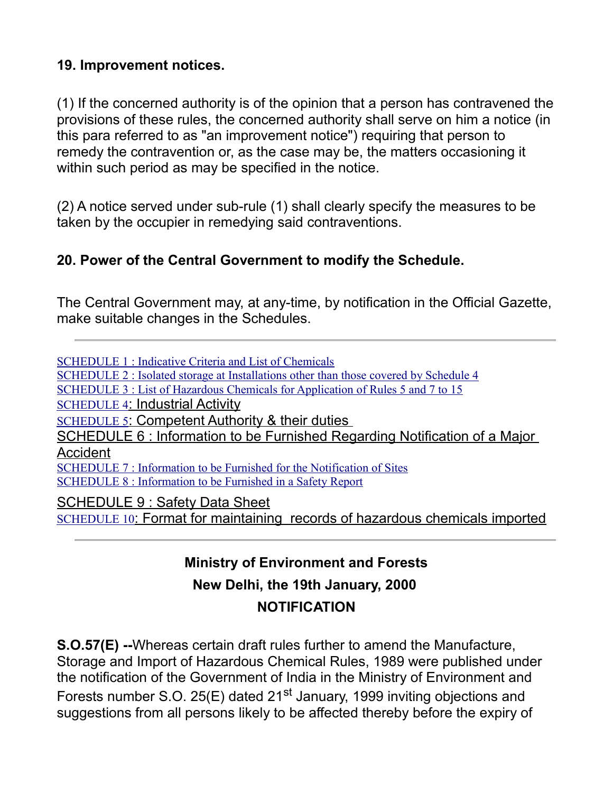## **19. Improvement notices.**

(1) If the concerned authority is of the opinion that a person has contravened the provisions of these rules, the concerned authority shall serve on him a notice (in this para referred to as "an improvement notice") requiring that person to remedy the contravention or, as the case may be, the matters occasioning it within such period as may be specified in the notice.

(2) A notice served under sub-rule (1) shall clearly specify the measures to be taken by the occupier in remedying said contraventions.

## **20. Power of the Central Government to modify the Schedule.**

The Central Government may, at any-time, by notification in the Official Gazette, make suitable changes in the Schedules.

[SCHEDULE 1 : Indicative Criteria and List of Chemicals](http://envfor.nic.in/legis/hsm/hsm2sch1.html) [SCHEDULE 2 : Isolated storage at Installations other than those covered by Schedule 4](http://envfor.nic.in/legis/hsm/hsm2sch2.html) [SCHEDULE 3 : List of Hazardous Chemicals for Application of Rules 5 and 7 to 15](http://envfor.nic.in/legis/hsm/hsm2sch3.html) [SCHEDULE 4](http://envfor.nic.in/legis/hsm/hsm2sch4.html): Industrial Activity [SCHEDULE 5](http://envfor.nic.in/legis/hsm/hsm2sch5.html): Competent Authority & their duties SCHEDULE 6 : Information to be Furnished Regarding Notification of a Major **Accident** [SCHEDULE 7 : Information to be Furnished for the Notification of Sites](http://envfor.nic.in/legis/hsm/hsm2sch7.html) [SCHEDULE 8 : Information to be Furnished in a Safety Report](http://envfor.nic.in/legis/hsm/hsm2sch8.html) SCHEDULE 9 : Safety Data Sheet [SCHEDULE 10](http://envfor.nic.in/legis/hsm/hsm2sch10.html): Format for maintaining records of hazardous chemicals imported

# **Ministry of Environment and Forests New Delhi, the 19th January, 2000 NOTIFICATION**

**S.O.57(E) --**Whereas certain draft rules further to amend the Manufacture, Storage and Import of Hazardous Chemical Rules, 1989 were published under the notification of the Government of India in the Ministry of Environment and Forests number S.O. 25(E) dated 21<sup>st</sup> January, 1999 inviting objections and suggestions from all persons likely to be affected thereby before the expiry of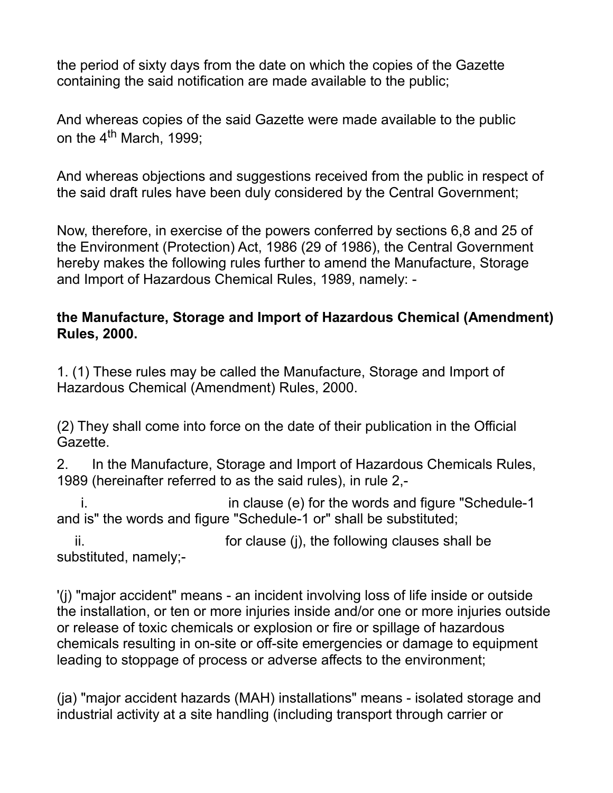the period of sixty days from the date on which the copies of the Gazette containing the said notification are made available to the public;

And whereas copies of the said Gazette were made available to the public on the  $4^{\text{th}}$  March, 1999;

And whereas objections and suggestions received from the public in respect of the said draft rules have been duly considered by the Central Government;

Now, therefore, in exercise of the powers conferred by sections 6,8 and 25 of the Environment (Protection) Act, 1986 (29 of 1986), the Central Government hereby makes the following rules further to amend the Manufacture, Storage and Import of Hazardous Chemical Rules, 1989, namely: -

#### **the Manufacture, Storage and Import of Hazardous Chemical (Amendment) Rules, 2000.**

1. (1) These rules may be called the Manufacture, Storage and Import of Hazardous Chemical (Amendment) Rules, 2000.

(2) They shall come into force on the date of their publication in the Official Gazette.

2. In the Manufacture, Storage and Import of Hazardous Chemicals Rules, 1989 (hereinafter referred to as the said rules), in rule 2,-

i. in clause (e) for the words and figure "Schedule-1 and is" the words and figure "Schedule-1 or" shall be substituted;

ii. for clause (j), the following clauses shall be substituted, namely;-

'(j) "major accident" means - an incident involving loss of life inside or outside the installation, or ten or more injuries inside and/or one or more injuries outside or release of toxic chemicals or explosion or fire or spillage of hazardous chemicals resulting in on-site or off-site emergencies or damage to equipment leading to stoppage of process or adverse affects to the environment;

(ja) "major accident hazards (MAH) installations" means - isolated storage and industrial activity at a site handling (including transport through carrier or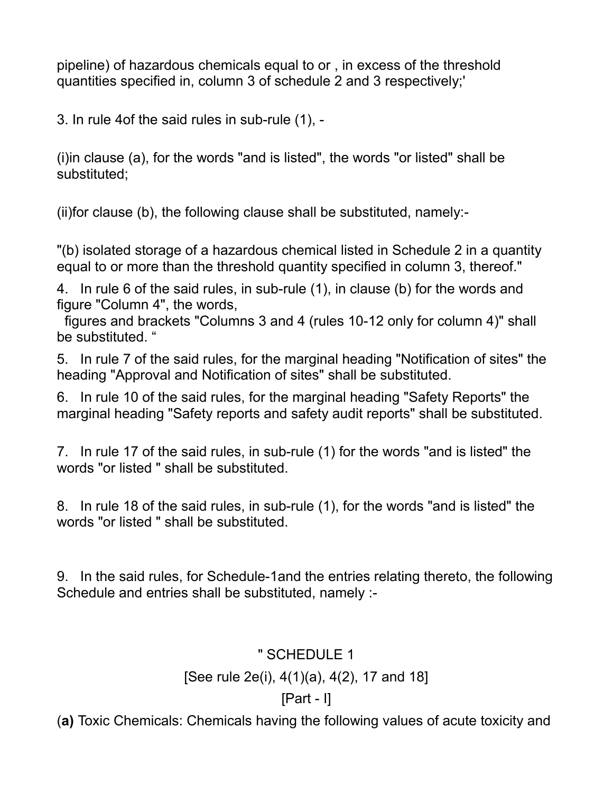pipeline) of hazardous chemicals equal to or , in excess of the threshold quantities specified in, column 3 of schedule 2 and 3 respectively;'

3. In rule 4of the said rules in sub-rule (1), -

(i)in clause (a), for the words "and is listed", the words "or listed" shall be substituted;

(ii)for clause (b), the following clause shall be substituted, namely:-

"(b) isolated storage of a hazardous chemical listed in Schedule 2 in a quantity equal to or more than the threshold quantity specified in column 3, thereof."

4. In rule 6 of the said rules, in sub-rule (1), in clause (b) for the words and figure "Column 4", the words,

figures and brackets "Columns 3 and 4 (rules 10-12 only for column 4)" shall be substituted. "

5. In rule 7 of the said rules, for the marginal heading "Notification of sites" the heading "Approval and Notification of sites" shall be substituted.

6. In rule 10 of the said rules, for the marginal heading "Safety Reports" the marginal heading "Safety reports and safety audit reports" shall be substituted.

7. In rule 17 of the said rules, in sub-rule (1) for the words "and is listed" the words "or listed " shall be substituted.

8. In rule 18 of the said rules, in sub-rule (1), for the words "and is listed" the words "or listed " shall be substituted.

9. In the said rules, for Schedule-1and the entries relating thereto, the following Schedule and entries shall be substituted, namely :-

#### " SCHEDULE 1

#### [See rule 2e(i), 4(1)(a), 4(2), 17 and 18]

# [Part - I]

(**a)** Toxic Chemicals: Chemicals having the following values of acute toxicity and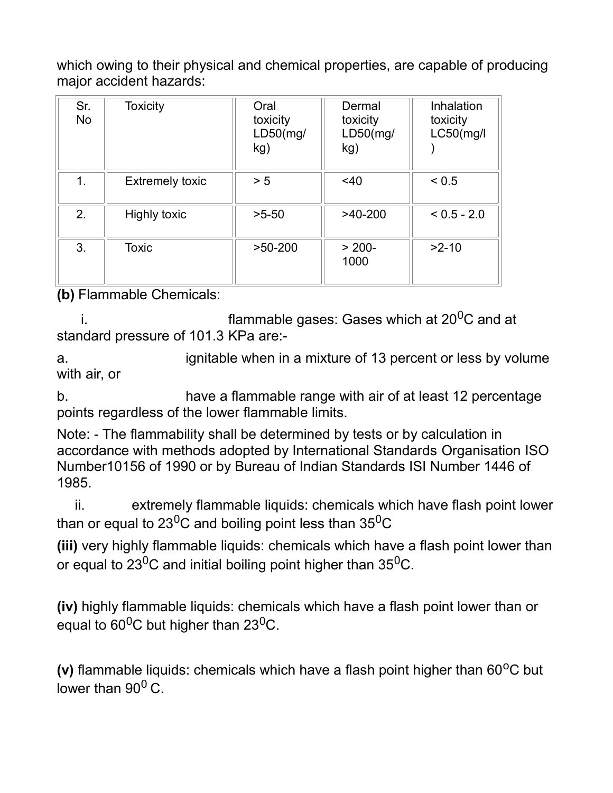which owing to their physical and chemical properties, are capable of producing major accident hazards:

| Sr.<br><b>No</b> | <b>Toxicity</b>        | Oral<br>toxicity<br>LD50(mg/<br>kg) | Dermal<br>toxicity<br>$LD50$ (mg/<br>kg) | Inhalation<br>toxicity<br>L C50 (mg/l) |
|------------------|------------------------|-------------------------------------|------------------------------------------|----------------------------------------|
| 1.               | <b>Extremely toxic</b> | > 5                                 | $<$ 40                                   | < 0.5                                  |
| 2.               | <b>Highly toxic</b>    | $>5-50$                             | $>40-200$                                | $< 0.5 - 2.0$                          |
| 3.               | <b>Toxic</b>           | $>50-200$                           | $> 200-$<br>1000                         | $>2-10$                                |

**(b)** Flammable Chemicals:

i.  $\blacksquare$  flammable gases: Gases which at 20<sup>0</sup>C and at standard pressure of 101.3 KPa are:-

a. ignitable when in a mixture of 13 percent or less by volume with air, or

b. have a flammable range with air of at least 12 percentage points regardless of the lower flammable limits.

Note: - The flammability shall be determined by tests or by calculation in accordance with methods adopted by International Standards Organisation ISO Number10156 of 1990 or by Bureau of Indian Standards ISI Number 1446 of 1985.

ii. extremely flammable liquids: chemicals which have flash point lower than or equal to 23<sup>0</sup>C and boiling point less than  $35^{0}C$ 

**(iii)** very highly flammable liquids: chemicals which have a flash point lower than or equal to  $23^{0}$ C and initial boiling point higher than  $35^{0}$ C.

**(iv)** highly flammable liquids: chemicals which have a flash point lower than or equal to  $60^0C$  but higher than 23<sup>0</sup>C.

**(v)** flammable liquids: chemicals which have a flash point higher than 60<sup>o</sup>C but lower than  $90^0$  C.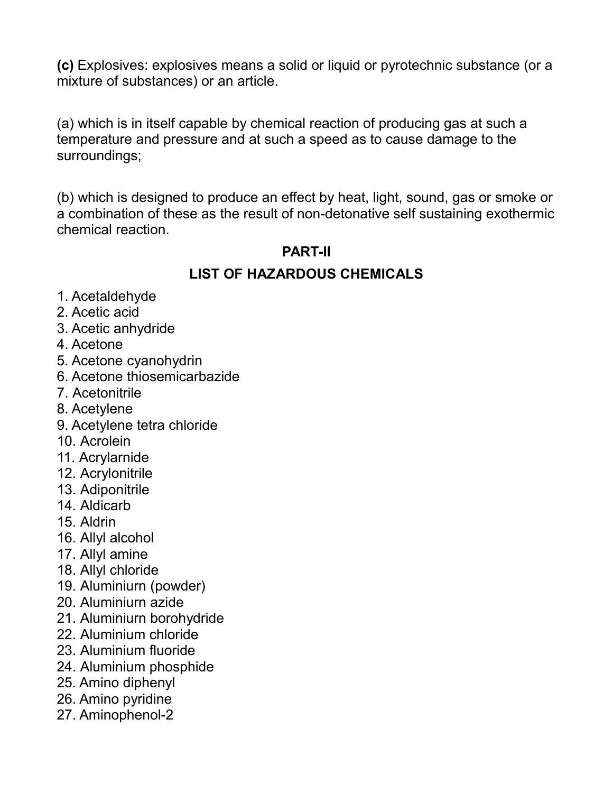**(c)** Explosives: explosives means a solid or liquid or pyrotechnic substance (or a mixture of substances) or an article.

(a) which is in itself capable by chemical reaction of producing gas at such a temperature and pressure and at such a speed as to cause damage to the surroundings;

(b) which is designed to produce an effect by heat, light, sound, gas or smoke or a combination of these as the result of non-detonative self sustaining exothermic chemical reaction.

# **PART-II**

## **LIST OF HAZARDOUS CHEMICALS**

- 1. Acetaldehyde
- 2. Acetic acid
- 3. Acetic anhydride
- 4. Acetone
- 5. Acetone cyanohydrin
- 6. Acetone thiosemicarbazide
- 7. Acetonitrile
- 8. Acetylene
- 9. Acetylene tetra chloride
- 10. Acrolein
- 11. Acrylarnide
- 12. Acrylonitrile
- 13. Adiponitrile
- 14. Aldicarb
- 15. Aldrin
- 16. Allyl alcohol
- 17. Allyl amine
- 18. Allyl chloride
- 19. Aluminiurn (powder)
- 20. Aluminiurn azide
- 21. Aluminiurn borohydride
- 22. Aluminium chloride
- 23. Aluminium fluoride
- 24. Aluminium phosphide
- 25. Amino diphenyl
- 26. Amino pyridine
- 27. Aminophenol-2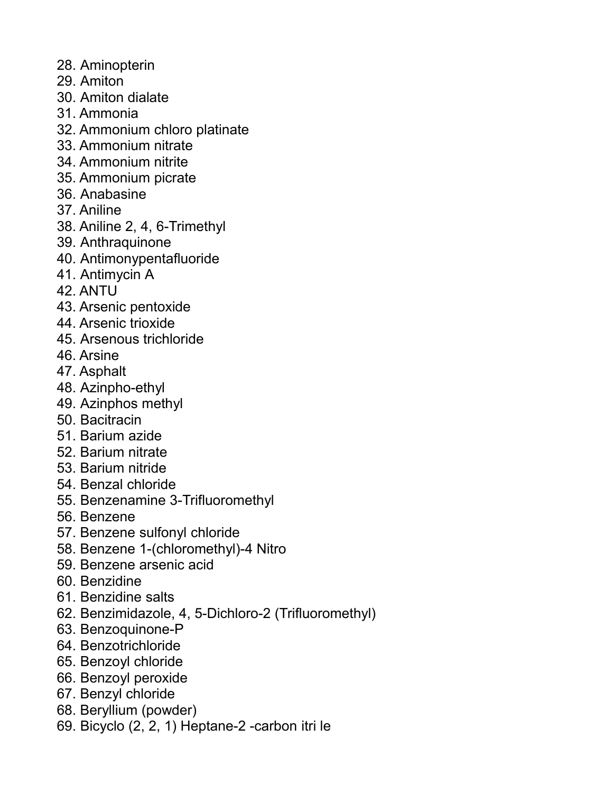- 28. Aminopterin
- 29. Amiton
- 30. Amiton dialate
- 31. Ammonia
- 32. Ammonium chloro platinate
- 33. Ammonium nitrate
- 34. Ammonium nitrite
- 35. Ammonium picrate
- 36. Anabasine
- 37. Aniline
- 38. Aniline 2, 4, 6-Trimethyl
- 39. Anthraquinone
- 40. Antimonypentafluoride
- 41. Antimycin A
- 42. ANTU
- 43. Arsenic pentoxide
- 44. Arsenic trioxide
- 45. Arsenous trichloride
- 46. Arsine
- 47. Asphalt
- 48. Azinpho-ethyl
- 49. Azinphos methyl
- 50. Bacitracin
- 51. Barium azide
- 52. Barium nitrate
- 53. Barium nitride
- 54. Benzal chloride
- 55. Benzenamine 3-Trifluoromethyl
- 56. Benzene
- 57. Benzene sulfonyl chloride
- 58. Benzene 1-(chloromethyl)-4 Nitro
- 59. Benzene arsenic acid
- 60. Benzidine
- 61. Benzidine salts
- 62. Benzimidazole, 4, 5-Dichloro-2 (Trifluoromethyl)
- 63. Benzoquinone-P
- 64. Benzotrichloride
- 65. Benzoyl chloride
- 66. Benzoyl peroxide
- 67. Benzyl chloride
- 68. Beryllium (powder)
- 69. Bicyclo (2, 2, 1) Heptane-2 -carbon itri le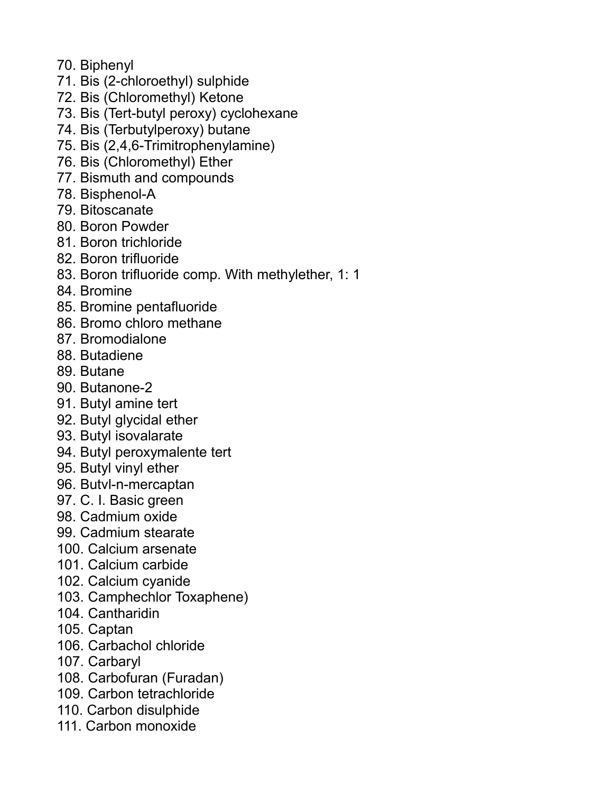- 70. Biphenyl
- 71. Bis (2-chloroethyl) sulphide
- 72. Bis (Chloromethyl) Ketone
- 73. Bis (Tert-butyl peroxy) cyclohexane
- 74. Bis (Terbutylperoxy) butane
- 75. Bis (2,4,6-Trimitrophenylamine)
- 76. Bis (Chloromethyl) Ether
- 77. Bismuth and compounds
- 78. Bisphenol-A
- 79. Bitoscanate
- 80. Boron Powder
- 81. Boron trichloride
- 82. Boron trifluoride
- 83. Boron trifluoride comp. With methylether, 1: 1
- 84. Bromine
- 85. Bromine pentafluoride
- 86. Bromo chloro methane
- 87. Bromodialone
- 88. Butadiene
- 89. Butane
- 90. Butanone-2
- 91. Butyl amine tert
- 92. Butyl glycidal ether
- 93. Butyl isovalarate
- 94. Butyl peroxymalente tert
- 95. Butyl vinyl ether
- 96. Butvl-n-mercaptan
- 97. C. I. Basic green
- 98. Cadmium oxide
- 99. Cadmium stearate
- 100. Calcium arsenate
- 101. Calcium carbide
- 102. Calcium cyanide
- 103. Camphechlor Toxaphene)
- 104. Cantharidin
- 105. Captan
- 106. Carbachol chloride
- 107. Carbaryl
- 108. Carbofuran (Furadan)
- 109. Carbon tetrachloride
- 110. Carbon disulphide
- 111. Carbon monoxide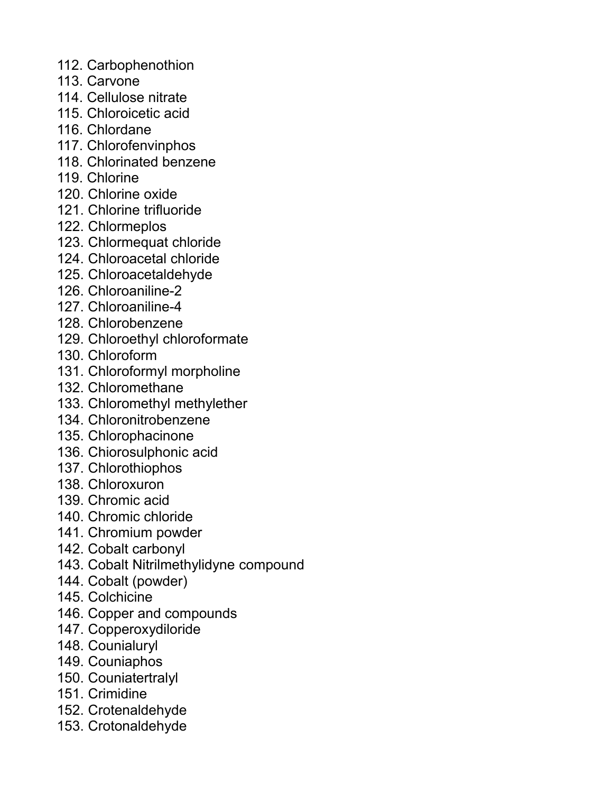- 112. Carbophenothion
- 113. Carvone
- 114. Cellulose nitrate
- 115. Chloroicetic acid
- 116. Chlordane
- 117. Chlorofenvinphos
- 118. Chlorinated benzene
- 119. Chlorine
- 120. Chlorine oxide
- 121. Chlorine trifluoride
- 122. Chlormeplos
- 123. Chlormequat chloride
- 124. Chloroacetal chloride
- 125. Chloroacetaldehyde
- 126. Chloroaniline-2
- 127. Chloroaniline-4
- 128. Chlorobenzene
- 129. Chloroethyl chloroformate
- 130. Chloroform
- 131. Chloroformyl morpholine
- 132. Chloromethane
- 133. Chloromethyl methylether
- 134. Chloronitrobenzene
- 135. Chlorophacinone
- 136. Chiorosulphonic acid
- 137. Chlorothiophos
- 138. Chloroxuron
- 139. Chromic acid
- 140. Chromic chloride
- 141. Chromium powder
- 142. Cobalt carbonyl
- 143. Cobalt Nitrilmethylidyne compound
- 144. Cobalt (powder)
- 145. Colchicine
- 146. Copper and compounds
- 147. Copperoxydiloride
- 148. Counialuryl
- 149. Couniaphos
- 150. Couniatertralyl
- 151. Crimidine
- 152. Crotenaldehyde
- 153. Crotonaldehyde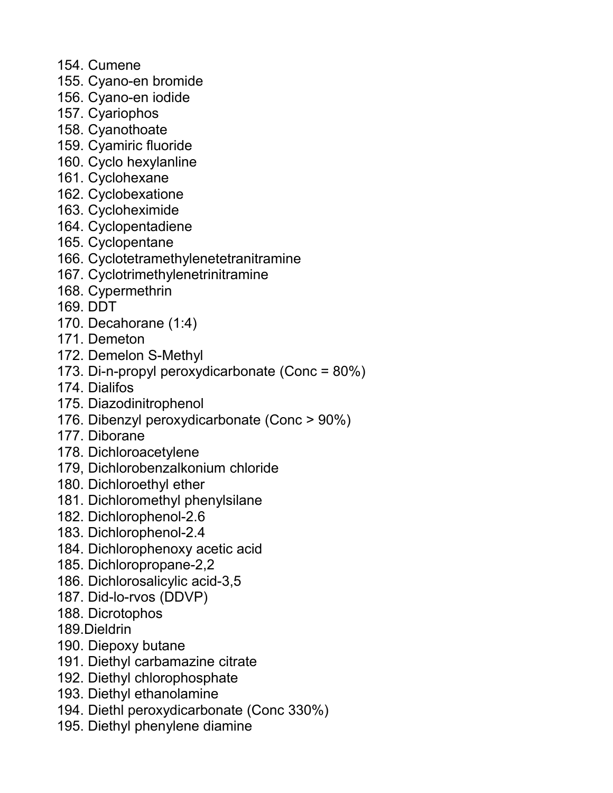- 154. Cumene
- 155. Cyano-en bromide
- 156. Cyano-en iodide
- 157. Cyariophos
- 158. Cyanothoate
- 159. Cyamiric fluoride
- 160. Cyclo hexylanline
- 161. Cyclohexane
- 162. Cyclobexatione
- 163. Cycloheximide
- 164. Cyclopentadiene
- 165. Cyclopentane
- 166. Cyclotetramethylenetetranitramine
- 167. Cyclotrimethylenetrinitramine
- 168. Cypermethrin
- 169. DDT
- 170. Decahorane (1:4)
- 171. Demeton
- 172. Demelon S-Methyl
- 173. Di-n-propyl peroxydicarbonate (Conc = 80%)
- 174. Dialifos
- 175. Diazodinitrophenol
- 176. Dibenzyl peroxydicarbonate (Conc > 90%)
- 177. Diborane
- 178. Dichloroacetylene
- 179, Dichlorobenzalkonium chloride
- 180. Dichloroethyl ether
- 181. Dichloromethyl phenylsilane
- 182. Dichlorophenol-2.6
- 183. Dichlorophenol-2.4
- 184. Dichlorophenoxy acetic acid
- 185. Dichloropropane-2,2
- 186. Dichlorosalicylic acid-3,5
- 187. Did-lo-rvos (DDVP)
- 188. Dicrotophos
- 189.Dieldrin
- 190. Diepoxy butane
- 191. Diethyl carbamazine citrate
- 192. Diethyl chlorophosphate
- 193. Diethyl ethanolamine
- 194. Diethl peroxydicarbonate (Conc 330%)
- 195. Diethyl phenylene diamine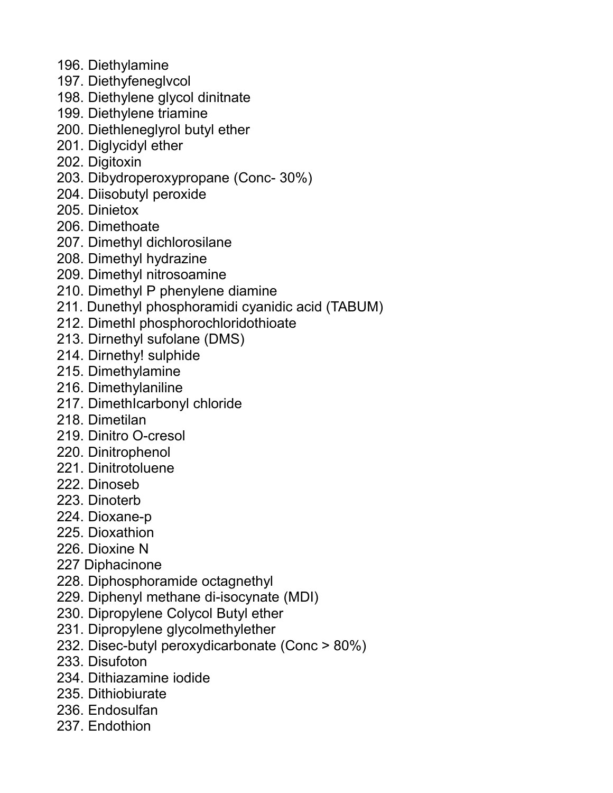- 196. Diethylamine
- 197. Diethyfeneglvcol
- 198. Diethylene glycol dinitnate
- 199. Diethylene triamine
- 200. Diethleneglyrol butyl ether
- 201. Diglycidyl ether
- 202. Digitoxin
- 203. Dibydroperoxypropane (Conc- 30%)
- 204. Diisobutyl peroxide
- 205. Dinietox
- 206. Dimethoate
- 207. Dimethyl dichlorosilane
- 208. Dimethyl hydrazine
- 209. Dimethyl nitrosoamine
- 210. Dimethyl P phenylene diamine
- 211. Dunethyl phosphoramidi cyanidic acid (TABUM)
- 212. Dimethl phosphorochloridothioate
- 213. Dirnethyl sufolane (DMS)
- 214. Dirnethy! sulphide
- 215. Dimethylamine
- 216. Dimethylaniline
- 217. DimethIcarbonyl chloride
- 218. Dimetilan
- 219. Dinitro O-cresol
- 220. Dinitrophenol
- 221. Dinitrotoluene
- 222. Dinoseb
- 223. Dinoterb
- 224. Dioxane-p
- 225. Dioxathion
- 226. Dioxine N
- 227 Diphacinone
- 228. Diphosphoramide octagnethyl
- 229. Diphenyl methane di-isocynate (MDI)
- 230. Dipropylene Colycol Butyl ether
- 231. Dipropylene glycolmethylether
- 232. Disec-butyl peroxydicarbonate (Conc > 80%)
- 233. Disufoton
- 234. Dithiazamine iodide
- 235. Dithiobiurate
- 236. Endosulfan
- 237. Endothion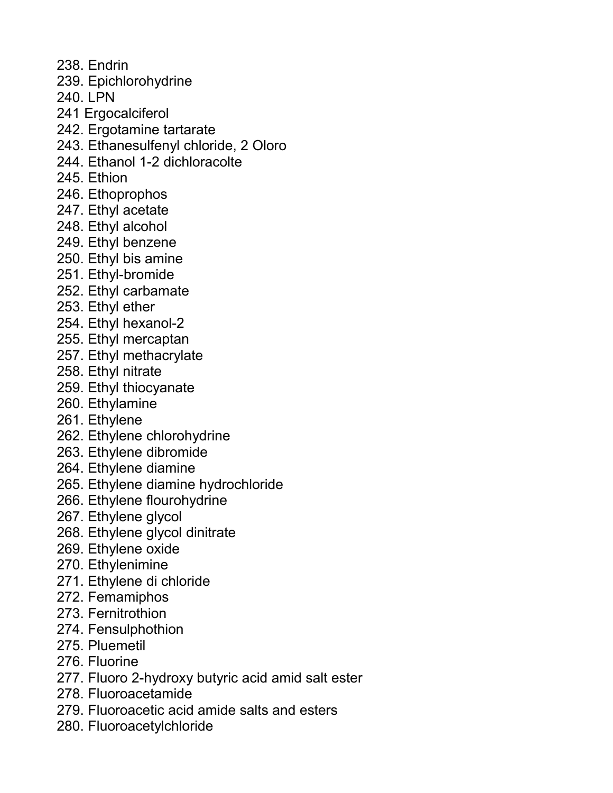238. Endrin

239. Epichlorohydrine

240. LPN

- 241 Ergocalciferol
- 242. Ergotamine tartarate
- 243. Ethanesulfenyl chloride, 2 Oloro
- 244. Ethanol 1-2 dichloracolte
- 245. Ethion
- 246. Ethoprophos
- 247. Ethyl acetate
- 248. Ethyl alcohol
- 249. Ethyl benzene
- 250. Ethyl bis amine
- 251. Ethyl-bromide
- 252. Ethyl carbamate
- 253. Ethyl ether
- 254. Ethyl hexanol-2
- 255. Ethyl mercaptan
- 257. Ethyl methacrylate
- 258. Ethyl nitrate
- 259. Ethyl thiocyanate
- 260. Ethylamine
- 261. Ethylene
- 262. Ethylene chlorohydrine
- 263. Ethylene dibromide
- 264. Ethylene diamine
- 265. Ethylene diamine hydrochloride
- 266. Ethylene flourohydrine
- 267. Ethylene glycol
- 268. Ethylene glycol dinitrate
- 269. Ethylene oxide
- 270. Ethylenimine
- 271. Ethylene di chloride
- 272. Femamiphos
- 273. Fernitrothion
- 274. Fensulphothion
- 275. Pluemetil
- 276. Fluorine
- 277. Fluoro 2-hydroxy butyric acid amid salt ester
- 278. Fluoroacetamide
- 279. Fluoroacetic acid amide salts and esters
- 280. Fluoroacetylchloride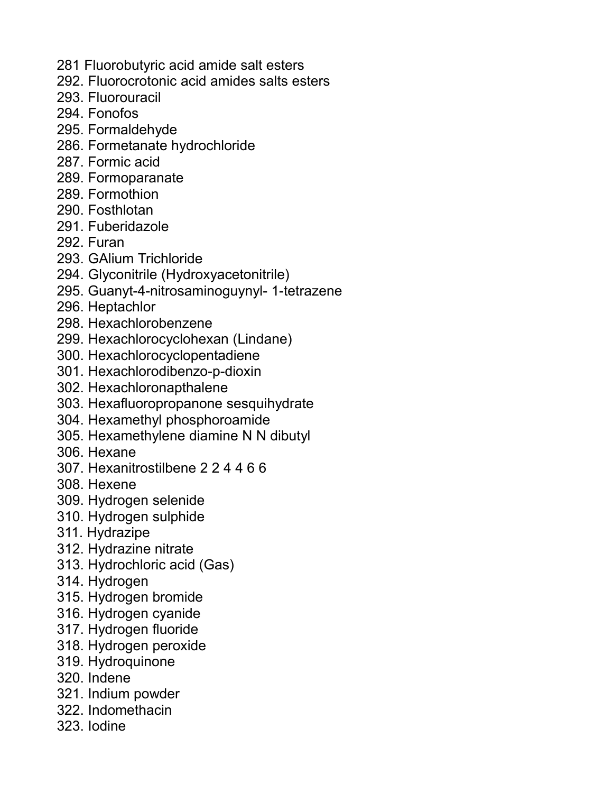- 281 Fluorobutyric acid amide salt esters
- 292. Fluorocrotonic acid amides salts esters
- 293. Fluorouracil
- 294. Fonofos
- 295. Formaldehyde
- 286. Formetanate hydrochloride
- 287. Formic acid
- 289. Formoparanate
- 289. Formothion
- 290. Fosthlotan
- 291. Fuberidazole
- 292. Furan
- 293. GAlium Trichloride
- 294. Glyconitrile (Hydroxyacetonitrile)
- 295. Guanyt-4-nitrosaminoguynyl- 1-tetrazene
- 296. Heptachlor
- 298. Hexachlorobenzene
- 299. Hexachlorocyclohexan (Lindane)
- 300. Hexachlorocyclopentadiene
- 301. Hexachlorodibenzo-p-dioxin
- 302. Hexachloronapthalene
- 303. Hexafluoropropanone sesquihydrate
- 304. Hexamethyl phosphoroamide
- 305. Hexamethylene diamine N N dibutyl
- 306. Hexane
- 307. Hexanitrostilbene 2 2 4 4 6 6
- 308. Hexene
- 309. Hydrogen selenide
- 310. Hydrogen sulphide
- 311. Hydrazipe
- 312. Hydrazine nitrate
- 313. Hydrochloric acid (Gas)
- 314. Hydrogen
- 315. Hydrogen bromide
- 316. Hydrogen cyanide
- 317. Hydrogen fluoride
- 318. Hydrogen peroxide
- 319. Hydroquinone
- 320. Indene
- 321. Indium powder
- 322. Indomethacin
- 323. Iodine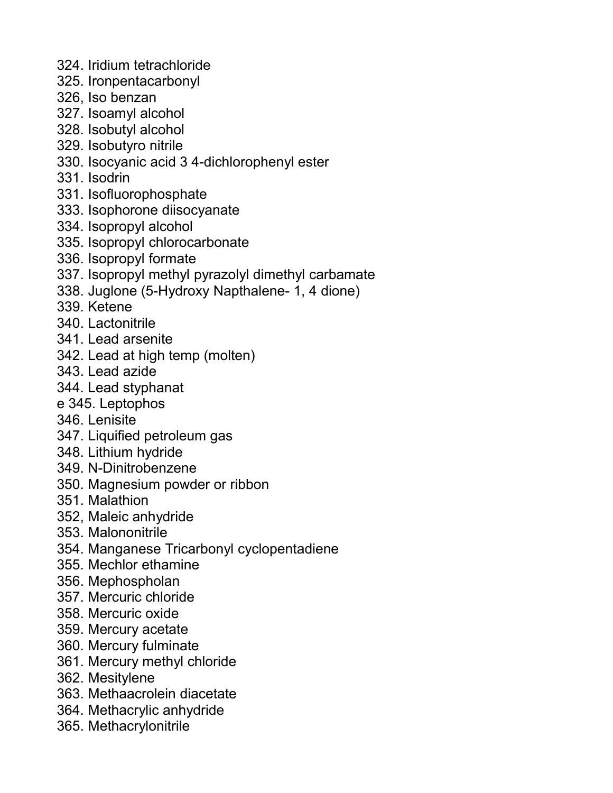- 324. Iridium tetrachloride
- 325. Ironpentacarbonyl
- 326, Iso benzan
- 327. Isoamyl alcohol
- 328. Isobutyl alcohol
- 329. Isobutyro nitrile
- 330. Isocyanic acid 3 4-dichlorophenyl ester
- 331. Isodrin
- 331. Isofluorophosphate
- 333. Isophorone diisocyanate
- 334. Isopropyl alcohol
- 335. Isopropyl chlorocarbonate
- 336. Isopropyl formate
- 337. Isopropyl methyl pyrazolyl dimethyl carbamate
- 338. Juglone (5-Hydroxy Napthalene- 1, 4 dione)
- 339. Ketene
- 340. Lactonitrile
- 341. Lead arsenite
- 342. Lead at high temp (molten)
- 343. Lead azide
- 344. Lead styphanat
- e 345. Leptophos
- 346. Lenisite
- 347. Liquified petroleum gas
- 348. Lithium hydride
- 349. N-Dinitrobenzene
- 350. Magnesium powder or ribbon
- 351. Malathion
- 352, Maleic anhydride
- 353. Malononitrile
- 354. Manganese Tricarbonyl cyclopentadiene
- 355. Mechlor ethamine
- 356. Mephospholan
- 357. Mercuric chloride
- 358. Mercuric oxide
- 359. Mercury acetate
- 360. Mercury fulminate
- 361. Mercury methyl chloride
- 362. Mesitylene
- 363. Methaacrolein diacetate
- 364. Methacrylic anhydride
- 365. Methacrylonitrile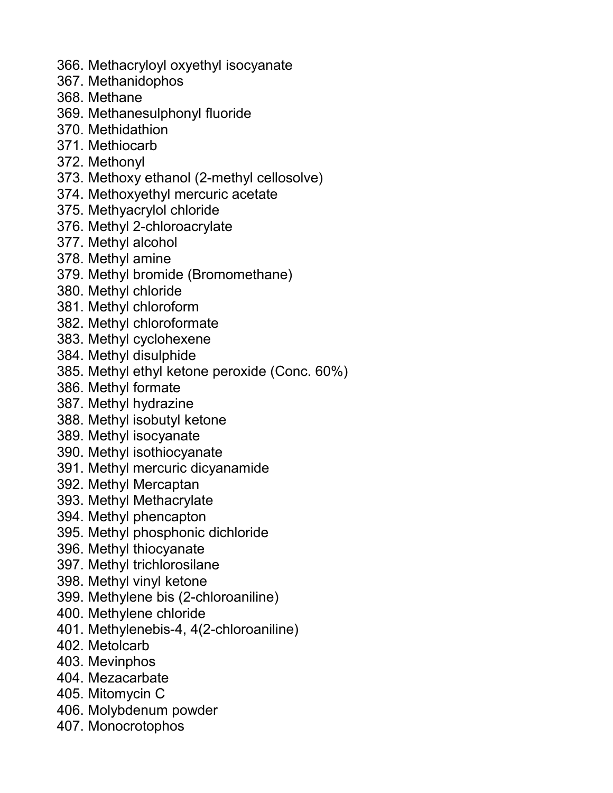- 366. Methacryloyl oxyethyl isocyanate
- 367. Methanidophos
- 368. Methane
- 369. Methanesulphonyl fluoride
- 370. Methidathion
- 371. Methiocarb
- 372. Methonyl
- 373. Methoxy ethanol (2-methyl cellosolve)
- 374. Methoxyethyl mercuric acetate
- 375. Methyacrylol chloride
- 376. Methyl 2-chloroacrylate
- 377. Methyl alcohol
- 378. Methyl amine
- 379. Methyl bromide (Bromomethane)
- 380. Methyl chloride
- 381. Methyl chloroform
- 382. Methyl chloroformate
- 383. Methyl cyclohexene
- 384. Methyl disulphide
- 385. Methyl ethyl ketone peroxide (Conc. 60%)
- 386. Methyl formate
- 387. Methyl hydrazine
- 388. Methyl isobutyl ketone
- 389. Methyl isocyanate
- 390. Methyl isothiocyanate
- 391. Methyl mercuric dicyanamide
- 392. Methyl Mercaptan
- 393. Methyl Methacrylate
- 394. Methyl phencapton
- 395. Methyl phosphonic dichloride
- 396. Methyl thiocyanate
- 397. Methyl trichlorosilane
- 398. Methyl vinyl ketone
- 399. Methylene bis (2-chloroaniline)
- 400. Methylene chloride
- 401. Methylenebis-4, 4(2-chloroaniline)
- 402. Metolcarb
- 403. Mevinphos
- 404. Mezacarbate
- 405. Mitomycin C
- 406. Molybdenum powder
- 407. Monocrotophos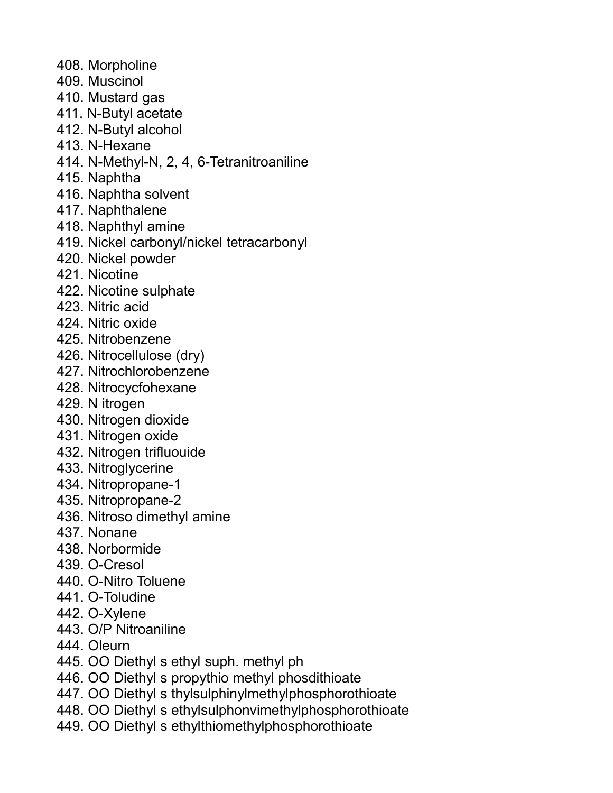- 408. Morpholine
- 409. Muscinol
- 410. Mustard gas
- 411. N-Butyl acetate
- 412. N-Butyl alcohol
- 413. N-Hexane
- 414. N-Methyl-N, 2, 4, 6-Tetranitroaniline
- 415. Naphtha
- 416. Naphtha solvent
- 417. Naphthalene
- 418. Naphthyl amine
- 419. Nickel carbonyl/nickel tetracarbonyl
- 420. Nickel powder
- 421. Nicotine
- 422. Nicotine sulphate
- 423. Nitric acid
- 424. Nitric oxide
- 425. Nitrobenzene
- 426. Nitrocellulose (dry)
- 427. Nitrochlorobenzene
- 428. Nitrocycfohexane
- 429. N itrogen
- 430. Nitrogen dioxide
- 431. Nitrogen oxide
- 432. Nitrogen trifluouide
- 433. Nitroglycerine
- 434. Nitropropane-1
- 435. Nitropropane-2
- 436. Nitroso dimethyl amine
- 437. Nonane
- 438. Norbormide
- 439. O-Cresol
- 440. O-Nitro Toluene
- 441. O-Toludine
- 442. O-Xylene
- 443. O/P Nitroaniline
- 444. Oleurn
- 445. OO Diethyl s ethyl suph. methyl ph
- 446. OO Diethyl s propythio methyl phosdithioate
- 447. OO Diethyl s thylsulphinylmethylphosphorothioate
- 448. OO Diethyl s ethylsulphonvimethylphosphorothioate
- 449. OO Diethyl s ethylthiomethylphosphorothioate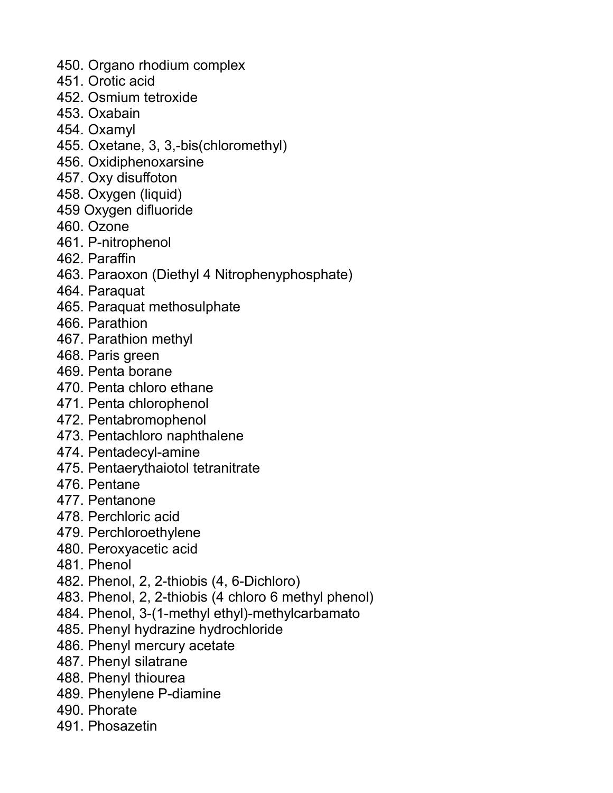- 450. Organo rhodium complex
- 451. Orotic acid
- 452. Osmium tetroxide
- 453. Oxabain
- 454. Oxamyl
- 455. Oxetane, 3, 3,-bis(chloromethyl)
- 456. Oxidiphenoxarsine
- 457. Oxy disuffoton
- 458. Oxygen (liquid)
- 459 Oxygen difluoride
- 460. Ozone
- 461. P-nitrophenol
- 462. Paraffin
- 463. Paraoxon (Diethyl 4 Nitrophenyphosphate)
- 464. Paraquat
- 465. Paraquat methosulphate
- 466. Parathion
- 467. Parathion methyl
- 468. Paris green
- 469. Penta borane
- 470. Penta chloro ethane
- 471. Penta chlorophenol
- 472. Pentabromophenol
- 473. Pentachloro naphthalene
- 474. Pentadecyl-amine
- 475. Pentaerythaiotol tetranitrate
- 476. Pentane
- 477. Pentanone
- 478. Perchloric acid
- 479. Perchloroethylene
- 480. Peroxyacetic acid
- 481. Phenol
- 482. Phenol, 2, 2-thiobis (4, 6-Dichloro)
- 483. Phenol, 2, 2-thiobis (4 chloro 6 methyl phenol)
- 484. Phenol, 3-(1-methyl ethyl)-methylcarbamato
- 485. Phenyl hydrazine hydrochloride
- 486. Phenyl mercury acetate
- 487. Phenyl silatrane
- 488. Phenyl thiourea
- 489. Phenylene P-diamine
- 490. Phorate
- 491. Phosazetin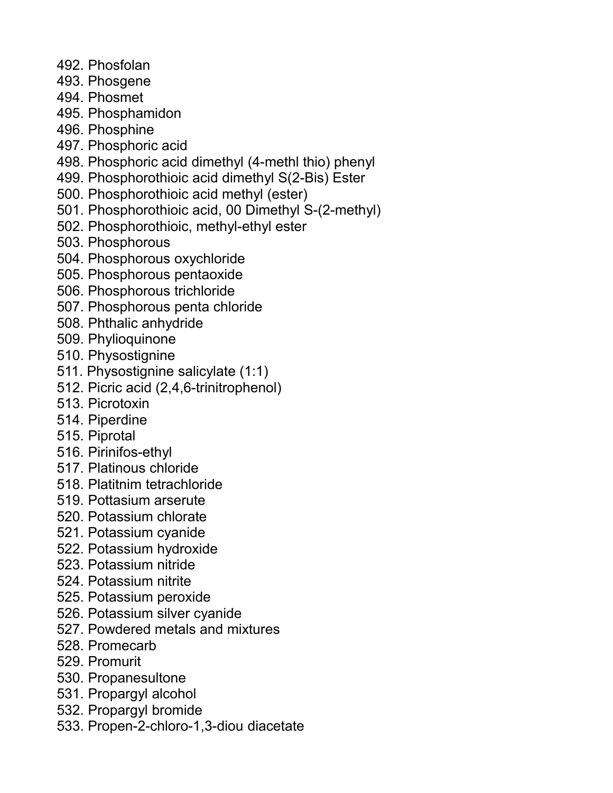- 492. Phosfolan
- 493. Phosgene
- 494. Phosmet
- 495. Phosphamidon
- 496. Phosphine
- 497. Phosphoric acid
- 498. Phosphoric acid dimethyl (4-methl thio) phenyl
- 499. Phosphorothioic acid dimethyl S(2-Bis) Ester
- 500. Phosphorothioic acid methyl (ester)
- 501. Phosphorothioic acid, 00 Dimethyl S-(2-methyl)
- 502. Phosphorothioic, methyl-ethyl ester
- 503. Phosphorous
- 504. Phosphorous oxychloride
- 505. Phosphorous pentaoxide
- 506. Phosphorous trichloride
- 507. Phosphorous penta chloride
- 508. Phthalic anhydride
- 509. Phylioquinone
- 510. Physostignine
- 511. Physostignine salicylate (1:1)
- 512. Picric acid (2,4,6-trinitrophenol)
- 513. Picrotoxin
- 514. Piperdine
- 515. Piprotal
- 516. Pirinifos-ethyl
- 517. Platinous chloride
- 518. Platitnim tetrachloride
- 519. Pottasium arserute
- 520. Potassium chlorate
- 521. Potassium cyanide
- 522. Potassium hydroxide
- 523. Potassium nitride
- 524. Potassium nitrite
- 525. Potassium peroxide
- 526. Potassium silver cyanide
- 527. Powdered metals and mixtures
- 528. Promecarb
- 529. Promurit
- 530. Propanesultone
- 531. Propargyl alcohol
- 532. Propargyl bromide
- 533. Propen-2-chloro-1,3-diou diacetate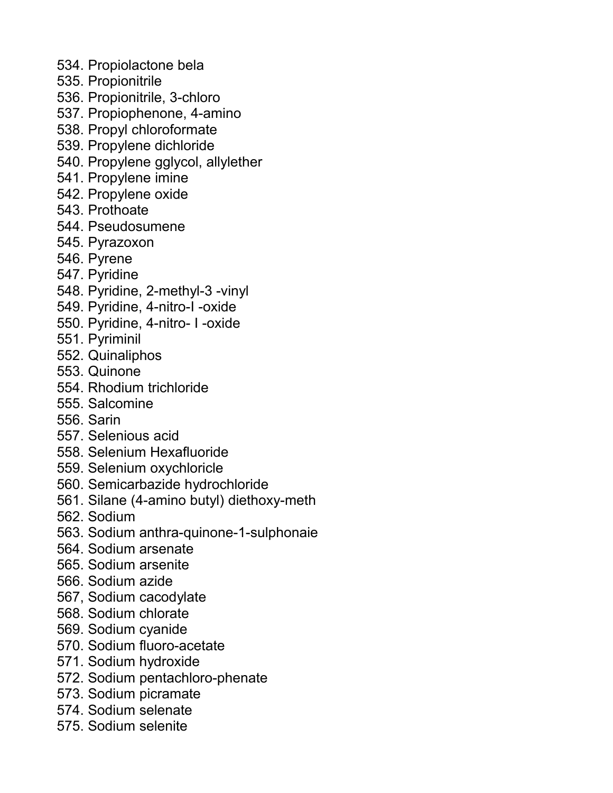- 534. Propiolactone bela
- 535. Propionitrile
- 536. Propionitrile, 3-chloro
- 537. Propiophenone, 4-amino
- 538. Propyl chloroformate
- 539. Propylene dichloride
- 540. Propylene gglycol, allylether
- 541. Propylene imine
- 542. Propylene oxide
- 543. Prothoate
- 544. Pseudosumene
- 545. Pyrazoxon
- 546. Pyrene
- 547. Pyridine
- 548. Pyridine, 2-methyl-3 -vinyl
- 549. Pyridine, 4-nitro-I -oxide
- 550. Pyridine, 4-nitro- I -oxide
- 551. Pyriminil
- 552. Quinaliphos
- 553. Quinone
- 554. Rhodium trichloride
- 555. Salcomine
- 556. Sarin
- 557. Selenious acid
- 558. Selenium Hexafluoride
- 559. Selenium oxychloricle
- 560. Semicarbazide hydrochloride
- 561. Silane (4-amino butyl) diethoxy-meth
- 562. Sodium
- 563. Sodium anthra-quinone-1-sulphonaie
- 564. Sodium arsenate
- 565. Sodium arsenite
- 566. Sodium azide
- 567, Sodium cacodylate
- 568. Sodium chlorate
- 569. Sodium cyanide
- 570. Sodium fluoro-acetate
- 571. Sodium hydroxide
- 572. Sodium pentachloro-phenate
- 573. Sodium picramate
- 574. Sodium selenate
- 575. Sodium selenite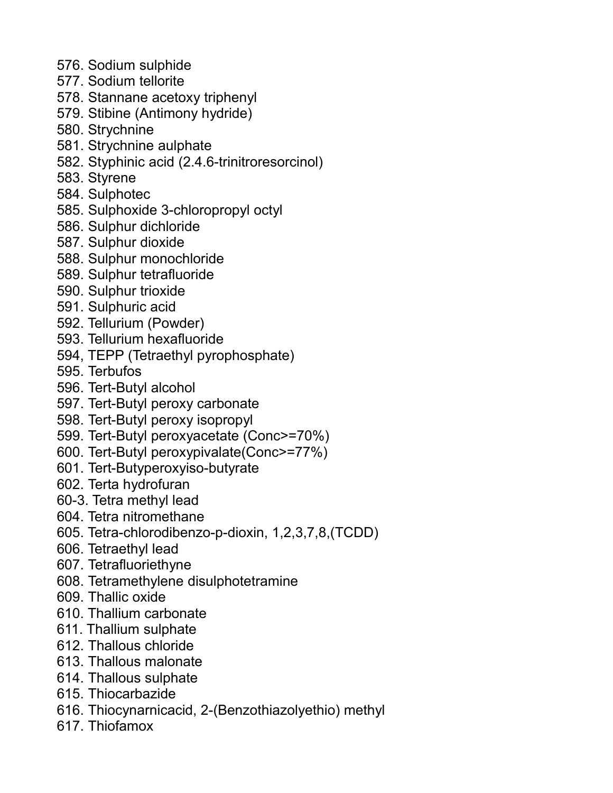- 576. Sodium sulphide
- 577. Sodium tellorite
- 578. Stannane acetoxy triphenyl
- 579. Stibine (Antimony hydride)
- 580. Strychnine
- 581. Strychnine aulphate
- 582. Styphinic acid (2.4.6-trinitroresorcinol)
- 583. Styrene
- 584. Sulphotec
- 585. Sulphoxide 3-chloropropyl octyl
- 586. Sulphur dichloride
- 587. Sulphur dioxide
- 588. Sulphur monochloride
- 589. Sulphur tetrafluoride
- 590. Sulphur trioxide
- 591. Sulphuric acid
- 592. Tellurium (Powder)
- 593. Tellurium hexafluoride
- 594, TEPP (Tetraethyl pyrophosphate)
- 595. Terbufos
- 596. Tert-Butyl alcohol
- 597. Tert-Butyl peroxy carbonate
- 598. Tert-Butyl peroxy isopropyl
- 599. Tert-Butyl peroxyacetate (Conc>=70%)
- 600. Tert-Butyl peroxypivalate(Conc>=77%)
- 601. Tert-Butyperoxyiso-butyrate
- 602. Terta hydrofuran
- 60-3. Tetra methyl lead
- 604. Tetra nitromethane
- 605. Tetra-chlorodibenzo-p-dioxin, 1,2,3,7,8,(TCDD)
- 606. Tetraethyl lead
- 607. Tetrafluoriethyne
- 608. Tetramethylene disulphotetramine
- 609. Thallic oxide
- 610. Thallium carbonate
- 611. Thallium sulphate
- 612. Thallous chloride
- 613. Thallous malonate
- 614. Thallous sulphate
- 615. Thiocarbazide
- 616. Thiocynarnicacid, 2-(Benzothiazolyethio) methyl
- 617. Thiofamox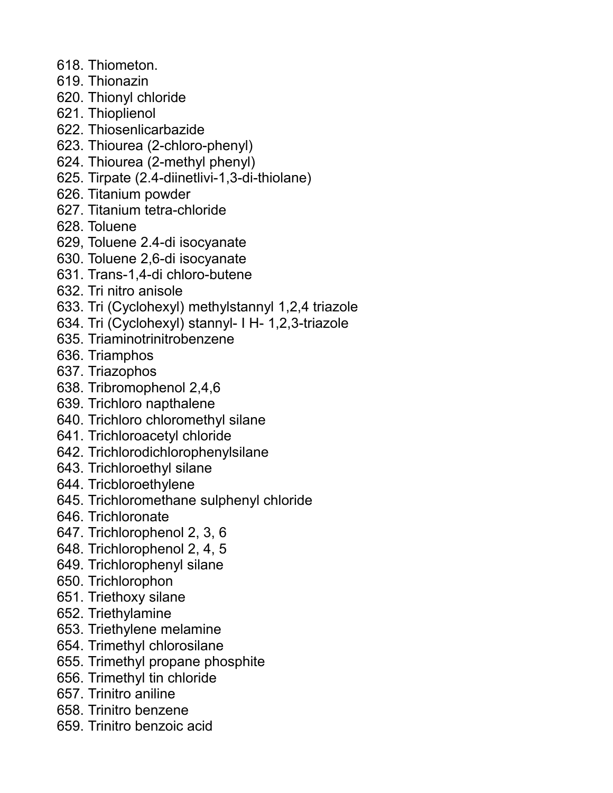- 618. Thiometon.
- 619. Thionazin
- 620. Thionyl chloride
- 621. Thioplienol
- 622. Thiosenlicarbazide
- 623. Thiourea (2-chloro-phenyl)
- 624. Thiourea (2-methyl phenyl)
- 625. Tirpate (2.4-diinetlivi-1,3-di-thiolane)
- 626. Titanium powder
- 627. Titanium tetra-chloride
- 628. Toluene
- 629, Toluene 2.4-di isocyanate
- 630. Toluene 2,6-di isocyanate
- 631. Trans-1,4-di chloro-butene
- 632. Tri nitro anisole
- 633. Tri (Cyclohexyl) methylstannyl 1,2,4 triazole
- 634. Tri (Cyclohexyl) stannyl- I H- 1,2,3-triazole
- 635. Triaminotrinitrobenzene
- 636. Triamphos
- 637. Triazophos
- 638. Tribromophenol 2,4,6
- 639. Trichloro napthalene
- 640. Trichloro chloromethyl silane
- 641. Trichloroacetyl chloride
- 642. Trichlorodichlorophenylsilane
- 643. Trichloroethyl silane
- 644. Tricbloroethylene
- 645. Trichloromethane sulphenyl chloride
- 646. Trichloronate
- 647. Trichlorophenol 2, 3, 6
- 648. Trichlorophenol 2, 4, 5
- 649. Trichlorophenyl silane
- 650. Trichlorophon
- 651. Triethoxy silane
- 652. Triethylamine
- 653. Triethylene melamine
- 654. Trimethyl chlorosilane
- 655. Trimethyl propane phosphite
- 656. Trimethyl tin chloride
- 657. Trinitro aniline
- 658. Trinitro benzene
- 659. Trinitro benzoic acid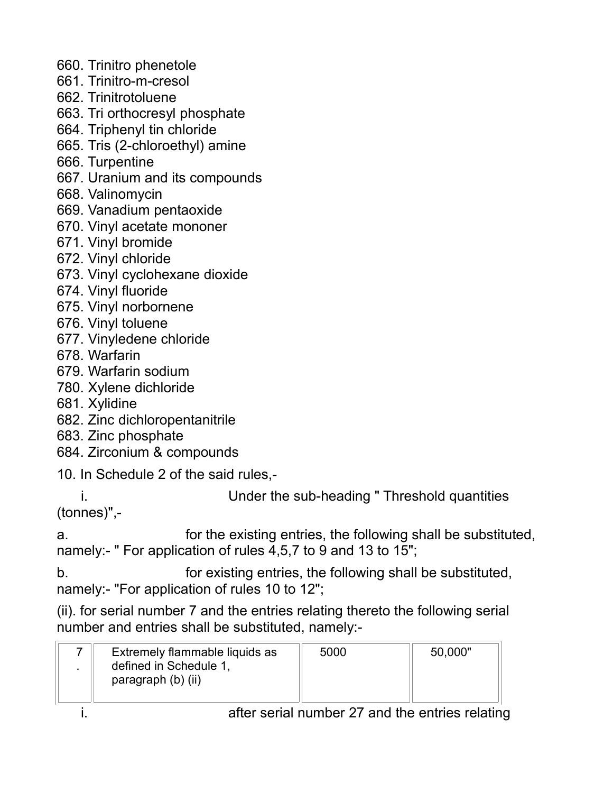- 660. Trinitro phenetole
- 661. Trinitro-m-cresol
- 662. Trinitrotoluene
- 663. Tri orthocresyl phosphate
- 664. Triphenyl tin chloride
- 665. Tris (2-chloroethyl) amine
- 666. Turpentine
- 667. Uranium and its compounds
- 668. Valinomycin
- 669. Vanadium pentaoxide
- 670. Vinyl acetate mononer
- 671. Vinyl bromide
- 672. Vinyl chloride
- 673. Vinyl cyclohexane dioxide
- 674. Vinyl fluoride
- 675. Vinyl norbornene
- 676. Vinyl toluene
- 677. Vinyledene chloride
- 678. Warfarin
- 679. Warfarin sodium
- 780. Xylene dichloride
- 681. Xylidine
- 682. Zinc dichloropentanitrile
- 683. Zinc phosphate
- 684. Zirconium & compounds
- 10. In Schedule 2 of the said rules,-
- i. Under the sub-heading " Threshold quantities

(tonnes)",-

a. for the existing entries, the following shall be substituted, namely:- " For application of rules 4,5,7 to 9 and 13 to 15";

b. for existing entries, the following shall be substituted, namely:- "For application of rules 10 to 12";

(ii). for serial number 7 and the entries relating thereto the following serial number and entries shall be substituted, namely:-

| Extremely flammable liquids as               | 5000 | 50,000" |
|----------------------------------------------|------|---------|
| defined in Schedule 1.<br>paragraph (b) (ii) |      |         |
|                                              |      |         |

i. after serial number 27 and the entries relating in the entries relating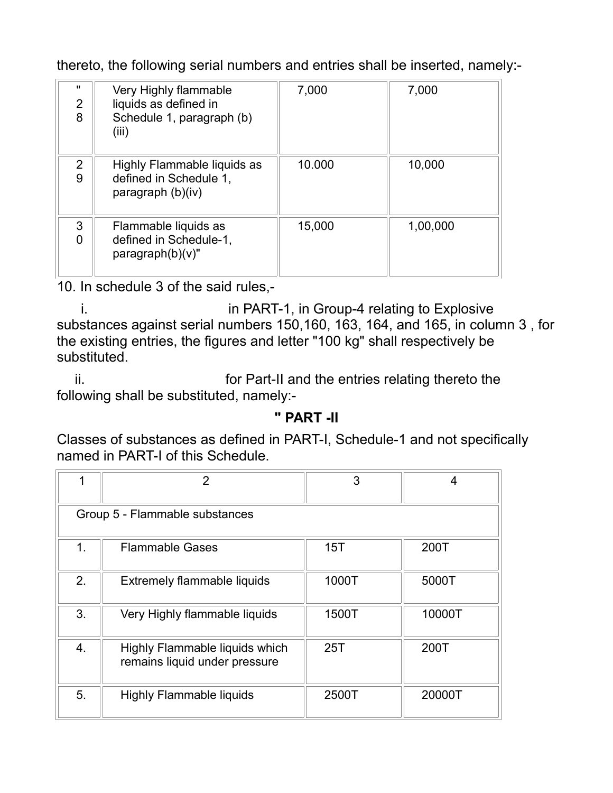thereto, the following serial numbers and entries shall be inserted, namely:-

| $\mathbf{u}$<br>$\overline{2}$<br>8 | Very Highly flammable<br>liquids as defined in<br>Schedule 1, paragraph (b)<br>(iii) | 7,000  | 7,000    |
|-------------------------------------|--------------------------------------------------------------------------------------|--------|----------|
| $\overline{2}$<br>9                 | Highly Flammable liquids as<br>defined in Schedule 1,<br>paragraph (b)(iv)           | 10.000 | 10,000   |
| 3<br>0                              | Flammable liquids as<br>defined in Schedule-1,<br>$paragraph(b)(v)$ "                | 15,000 | 1,00,000 |

10. In schedule 3 of the said rules,-

i. in PART-1, in Group-4 relating to Explosive substances against serial numbers 150,160, 163, 164, and 165, in column 3 , for the existing entries, the figures and letter "100 kg" shall respectively be substituted.

ii. for Part-II and the entries relating thereto the following shall be substituted, namely:-

# **" PART -II**

Classes of substances as defined in PART-I, Schedule-1 and not specifically named in PART-I of this Schedule.

| 1                              | $\overline{2}$                                                  | 3     | 4      |
|--------------------------------|-----------------------------------------------------------------|-------|--------|
| Group 5 - Flammable substances |                                                                 |       |        |
| 1.                             | <b>Flammable Gases</b>                                          | 15T   | 200T   |
| 2.                             | Extremely flammable liquids                                     | 1000T | 5000T  |
| 3.                             | Very Highly flammable liquids                                   | 1500T | 10000T |
| 4.                             | Highly Flammable liquids which<br>remains liquid under pressure | 25T   | 200T   |
| 5.                             | <b>Highly Flammable liquids</b>                                 | 2500T | 20000T |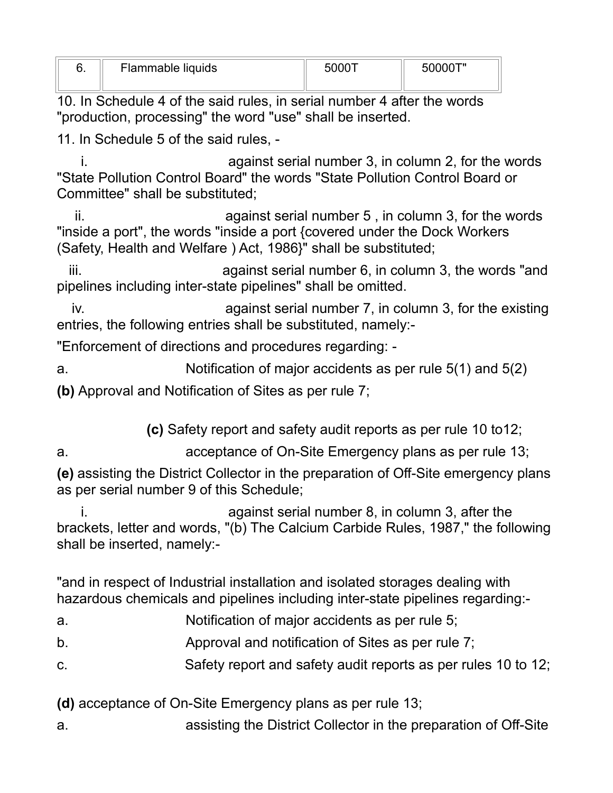| ν. | Flammable liquids | -50001 | ⌒ㅜ〃<br>50000 |
|----|-------------------|--------|--------------|
|    |                   |        |              |

10. In Schedule 4 of the said rules, in serial number 4 after the words "production, processing" the word "use" shall be inserted.

11. In Schedule 5 of the said rules, -

i. against serial number 3, in column 2, for the words "State Pollution Control Board" the words "State Pollution Control Board or Committee" shall be substituted;

ii. **against serial number 5**, in column 3, for the words "inside a port", the words "inside a port {covered under the Dock Workers (Safety, Health and Welfare ) Act, 1986}" shall be substituted;

iii. **against serial number 6, in column 3, the words "and** pipelines including inter-state pipelines" shall be omitted.

iv. against serial number 7, in column 3, for the existing entries, the following entries shall be substituted, namely:-

"Enforcement of directions and procedures regarding: -

a. Notification of major accidents as per rule 5(1) and 5(2)

**(b)** Approval and Notification of Sites as per rule 7;

**(c)** Safety report and safety audit reports as per rule 10 to12;

a. acceptance of On-Site Emergency plans as per rule 13;

**(e)** assisting the District Collector in the preparation of Off-Site emergency plans as per serial number 9 of this Schedule;

i. against serial number 8, in column 3, after the brackets, letter and words, "(b) The Calcium Carbide Rules, 1987," the following shall be inserted, namely:-

"and in respect of Industrial installation and isolated storages dealing with hazardous chemicals and pipelines including inter-state pipelines regarding:-

- a. Notification of major accidents as per rule 5;
- b. Approval and notification of Sites as per rule 7;
- c. Safety report and safety audit reports as per rules 10 to 12;

**(d)** acceptance of On-Site Emergency plans as per rule 13;

a. assisting the District Collector in the preparation of Off-Site